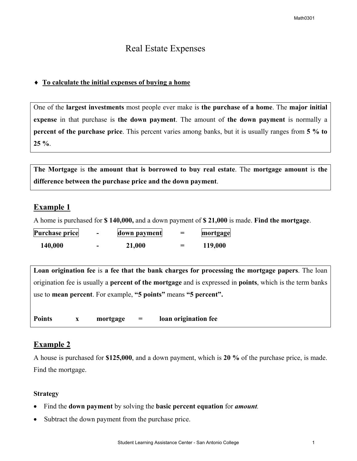# Real Estate Expenses

#### ♦ **To calculate the initial expenses of buying a home**

One of the **largest investments** most people ever make is **the purchase of a home**. The **major initial expense** in that purchase is **the down payment**. The amount of **the down payment** is normally a **percent of the purchase price**. This percent varies among banks, but it is usually ranges from **5 % to 25 %**.

**The Mortgage** is **the amount that is borrowed to buy real estate**. The **mortgage amount** is **the difference between the purchase price and the down payment**.

# **Example 1**

A home is purchased for **\$ 140,000,** and a down payment of **\$ 21,000** is made. **Find the mortgage**.

| <b>Purchase price</b> | - | down payment | $=$ | mortgage |
|-----------------------|---|--------------|-----|----------|
| 140,000               | - | 21,000       | $=$ | 119,000  |

**Loan origination fee** is **a fee that the bank charges for processing the mortgage papers**. The loan origination fee is usually a **percent of the mortgage** and is expressed in **points**, which is the term banks use to **mean percent**. For example, **"5 points"** means **"5 percent".** 

**Points x mortgage = loan origination fee** 

# **Example 2**

A house is purchased for **\$125,000**, and a down payment, which is **20 %** of the purchase price, is made. Find the mortgage.

### **Strategy**

- Find the **down payment** by solving the **basic percent equation** for *amount.*
- Subtract the down payment from the purchase price.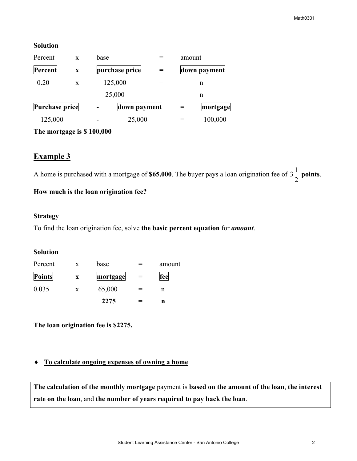#### **Solution**

| amount       |  |
|--------------|--|
| down payment |  |
| n            |  |
| n            |  |
| mortgage     |  |
| 100,000      |  |
|              |  |

**The mortgage is \$ 100,000** 

# **Example 3**

A home is purchased with a mortgage of **\$65,000**. The buyer pays a loan origination fee of  $3\frac{1}{2}$  **points**.

**How much is the loan origination fee?** 

#### **Strategy**

To find the loan origination fee, solve **the basic percent equation** for *amount*.

### **Solution**

| Percent       | X           | base     | amount |
|---------------|-------------|----------|--------|
| <b>Points</b> | $\mathbf X$ | mortgage | fee    |
| 0.035         | X           | 65,000   | n      |
|               |             | 2275     | n      |

**The loan origination fee is \$2275.** 

#### ♦ **To calculate ongoing expenses of owning a home**

**The calculation of the monthly mortgage** payment is **based on the amount of the loan**, **the interest rate on the loan**, and **the number of years required to pay back the loan**.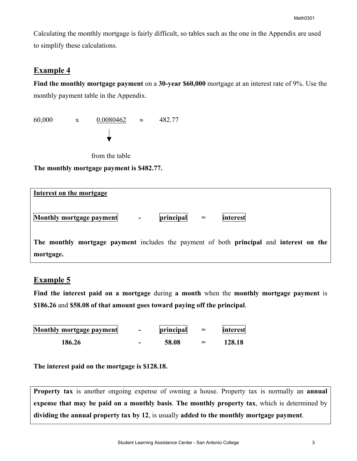Calculating the monthly mortgage is fairly difficult, so tables such as the one in the Appendix are used to simplify these calculations.

### **Example 4**

**Find the monthly mortgage payment** on a **30-year \$60,000** mortgage at an interest rate of 9%. Use the monthly payment table in the Appendix.

60,000 x 0.0080462 ≈ 482.77

from the table

**The monthly mortgage payment is \$482.77.** 



# **Example 5**

**Find the interest paid on a mortgage** during **a month** when the **monthly mortgage payment** is **\$186.26** and **\$58.08 of that amount goes toward paying off the principal**.

| Monthly mortgage payment | - | principal | $=$ | interest |
|--------------------------|---|-----------|-----|----------|
| 186.26                   | - | 58.08     | $=$ | 128.18   |

**The interest paid on the mortgage is \$128.18.** 

**Property tax** is another ongoing expense of owning a house. Property tax is normally an **annual expense that may be paid on a monthly basis**. **The monthly property tax**, which is determined by **dividing the annual property tax by 12**, is usually **added to the monthly mortgage payment**.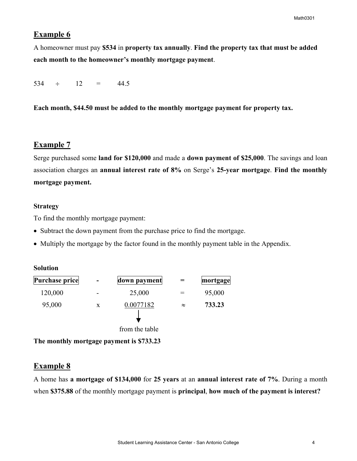### **Example 6**

A homeowner must pay **\$534** in **property tax annually**. **Find the property tax that must be added each month to the homeowner's monthly mortgage payment**.

534  $\div$  12 = 44.5

**Each month, \$44.50 must be added to the monthly mortgage payment for property tax.** 

# **Example 7**

Serge purchased some **land for \$120,000** and made a **down payment of \$25,000**. The savings and loan association charges an **annual interest rate of 8%** on Serge's **25-year mortgage**. **Find the monthly mortgage payment.** 

#### **Strategy**

To find the monthly mortgage payment:

- Subtract the down payment from the purchase price to find the mortgage.
- Multiply the mortgage by the factor found in the monthly payment table in the Appendix.

| <b>Solution</b>       |   |              |           |          |
|-----------------------|---|--------------|-----------|----------|
| <b>Purchase price</b> | - | down payment |           | mortgage |
| 120,000               | - | 25,000       |           | 95,000   |
| 95,000                | X | 0.0077182    | $\approx$ | 733.23   |
|                       |   |              |           |          |

from the table

**The monthly mortgage payment is \$733.23** 

# **Example 8**

A home has **a mortgage of \$134,000** for **25 years** at an **annual interest rate of 7%**. During a month when **\$375.88** of the monthly mortgage payment is **principal**, **how much of the payment is interest?**